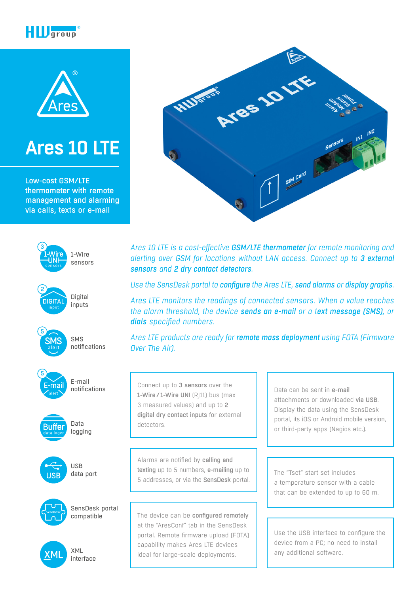



# **[Ares 10 LTE](https://www.hw-group.com/node/9237)**

Low-cost GSM/LTE thermometer with remote management and alarming via calls, texts or e-mail



Digital inputs



**DIGITA** 

2

SMS notifications



E-mail notifications





USB data port





XML interface



*Ares 10 LTE is a cost-effective GSM/LTE thermometer for remote monitoring and alerting over GSM for locations without LAN access. Connect up to 3 external sensors and 2 dry contact detectors.*

*Use the SensDesk portal to configure the Ares LTE, send alarms or display graphs.*

*Ares LTE monitors the readings of connected sensors. When a value reaches the alarm threshold, the device sends an e-mail or a text message (SMS), or dials specified numbers.*

*Ares LTE products are ready for remote mass deployment using FOTA (Firmware Over The Air).*

Connect up to 3 sensors over the 1-Wire/1-Wire UNI (R|11) bus (max 3 measured values) and up to 2 digital dry contact inputs for external detectors.

Alarms are notified by calling and texting up to 5 numbers, e-mailing up to 5 addresses, or via the SensDesk portal.

The device can be configured remotely at the "AresConf" tab in the SensDesk portal. Remote firmware upload (FOTA) capability makes Ares LTE devices ideal for large-scale deployments.

Data can be sent in e-mail attachments or downloaded via USB. Display the data using the SensDesk portal, its iOS or Android mobile version, or third-party apps (Nagios etc.).

The "Tset" start set includes a temperature sensor with a cable that can be extended to up to 60 m.

Use the USB interface to configure the device from a PC; no need to install any additional software.